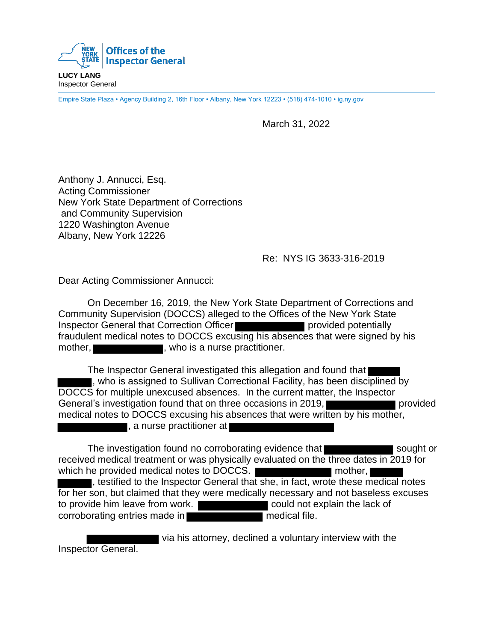

Inspector General

Empire State Plaza • Agency Building 2, 16th Floor • Albany, New York 12223 • (518) 474-1010 • ig.ny.gov

March 31, 2022

Anthony J. Annucci, Esq. Acting Commissioner New York State Department of Corrections and Community Supervision 1220 Washington Avenue Albany, New York 12226

## Re: NYS IG 3633-316-2019

Dear Acting Commissioner Annucci:

On December 16, 2019, the New York State Department of Corrections and Community Supervision (DOCCS) alleged to the Offices of the New York State Inspector General that Correction Officer **provided potentially** fraudulent medical notes to DOCCS excusing his absences that were signed by his mother, **who is a nurse practitioner.** 

The Inspector General investigated this allegation and found that , who is assigned to Sullivan Correctional Facility, has been disciplined by DOCCS for multiple unexcused absences. In the current matter, the Inspector General's investigation found that on three occasions in 2019, medical notes to DOCCS excusing his absences that were written by his mother, **The study of the study of the study of the study of the study of the study of the study of the study of the study of the study of the study of the study of the study of the study of the study of the study of the study of** 

The investigation found no corroborating evidence that sought or received medical treatment or was physically evaluated on the three dates in 2019 for which he provided medical notes to DOCCS.  $\blacksquare$  mother, , testified to the Inspector General that she, in fact, wrote these medical notes for her son, but claimed that they were medically necessary and not baseless excuses to provide him leave from work. The could not explain the lack of corroborating entries made in **notation of the medical file.** 

 via his attorney, declined a voluntary interview with the Inspector General.